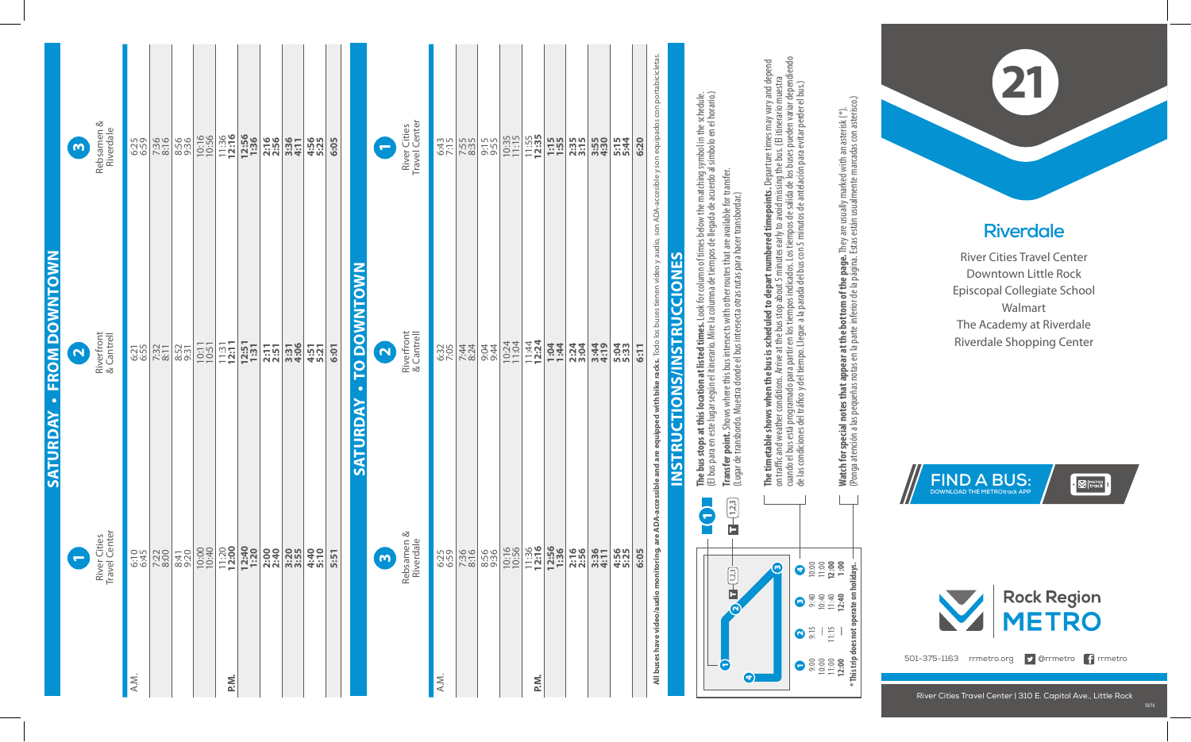| m                                                | Rebsamen &<br>Riverdale       | 6:25<br>6:59 | 7:36<br>8:16   | 8:56             | 10:16                 | $11:36$<br>12:16    | 12:56<br>1:36     | 2:16 | 3:36<br>4:11 | 4:56<br>5:25     | 6:05 |                                         |                         | Travel Center<br><b>River Cities</b> | 6:43         | 7:55<br>8:35 | 9:15         | 10:35          | $11:55$<br>12:35 | 1:55          | 2:35<br>3:15 | 3:55<br>4:30 | 5:44         | 6:20 |
|--------------------------------------------------|-------------------------------|--------------|----------------|------------------|-----------------------|---------------------|-------------------|------|--------------|------------------|------|-----------------------------------------|-------------------------|--------------------------------------|--------------|--------------|--------------|----------------|------------------|---------------|--------------|--------------|--------------|------|
| SATURDAY - FROM DOWNTOWN<br>$\mathbf{\tilde{c}}$ | Riverfront<br>& Cantrell      | 6:21<br>6:55 | $7:32$<br>8:11 | $8:52$<br>$9:31$ | $\frac{10:11}{10:51}$ | $\frac{1131}{2311}$ | $12:51$<br>$1:31$ | 2:51 | 3:31<br>4:06 | $4:51$<br>$5:21$ | 6:01 | <b>TO DOWNTOWN</b><br><b>SATURDAY .</b> | $\overline{\mathbf{N}}$ | Riverfront<br>& Cantrell             | 6:32         | 7:44<br>8:24 | 9:44<br>9:44 | 10:24<br>11:04 | 11:44<br>12:24   | 1:34          | 2:24<br>3:04 | 3:44<br>4:19 | 5:33<br>5:33 | 6:11 |
| $\blacktriangledown$                             | River Cities<br>Travel Center | 6:45         | 7:22           | 8:41<br>9:20     | 10:00<br>10:40        | $11:20$<br>12:00    | 12:40             | 2:00 | 3:55         | 4:40<br>5:10     | 5:51 |                                         | $\mathbf{\hat{S}}$      | Rebsamen &<br>Riverdale              | 6:25<br>6:59 | 7:36         | 8:56<br>9:36 | 10:16          | 11:36            | 12:56<br>1:36 | 2:16         | 3:36<br>4:11 | 4:56<br>5:25 | 6:05 |



## **Instructions/Instrucciones INSTRUCTIONS/INSTRUCCIONE**

**The bus stops at this location at listed times.** Look for column of times below the matching symbol in the schedule.<br>(El bus para en este lugar según el itinerario. Mire la columna de tiempos de llegada de acuerdo al símb **The bus stops at this location at listed times.** Look for column of times below the matching symbol in the schedule. (El bus para en este lugar según el itinerario. Mire la columna de tiempos de llegada de acuerdo al símbolo en el horario.) **Transfer point.** Shows where this bus intersects with other routes that are available for transfer.<br>(Lugar de transbordo. Muestra donde el bus intersecta otras rutas para hacer transbordar.) **Transfer point.** Shows where this bus intersects with other routes that are available for transfer.

cuando el bus está programado para partir en los tiempos indicados. Los tiempos de salida de los buses pueden variar dependiendo **The timetable shows when the bus is scheduled to depart numbered timepoints.** Departure times may vary and depend<br>on traffic and weather conditions. Arrive at the bus stop about 5 minutes early to avoid missing the bus. ( **The timetable shows when the bus is scheduled to depart numbered timepoints.** Departure times may vary and depend on traffic and weather conditions. Arrive at the bus stop about 5 minutes early to avoid missing the bus. (El itinerario muestra (Lugar de transbordo. Muestra donde el bus intersecta otras rutas para hacer transbordar.)

de las condiciones del tráco y del tiempo. Llegue a la parada del bus con 5 minutos de antelación para evitar perder el bus.)

**Watch for special notes that appear at the bottom of the page.** They are usually marked with an asterisk (\*).<br>(Ponga atención a las pequeñas notas en la parte inferior de la página. Estas están usualmente marcadas con as (Ponga atención a las pequeñas notas en la parte inferior de la página. Estas están usualmente marcadas con asterisco.) **Watch for special notes that appear at the bottom of the page.** They are usually marked with an asterisk (\*).

**\* This trip does not operate on holidays.**

둥 es not a





501-375-1163 rrmetro.org **D** @rrmetro **f** rrmetro

## **Riverdale**

River Cities Travel Center Downtown Little Rock Episcopal Collegiate School Walmart The Academy at Riverdale Riverdale Shopping Center